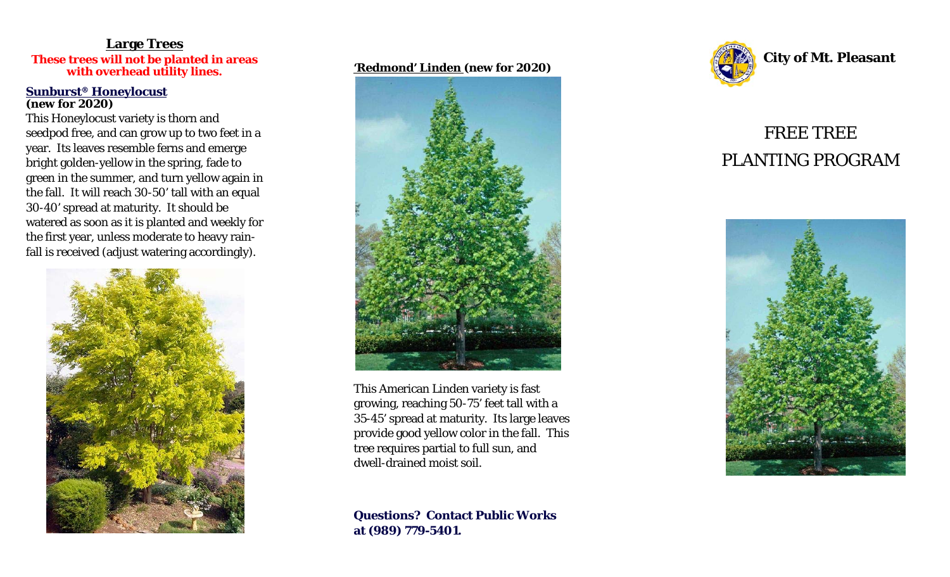## **Large Trees These trees will not be planted in areas with overhead utility lines.**

#### **Sunburst® Honeylocust (new for 2020)**

This Honeylocust variety is thorn and seedpod free, and can grow up to two feet in a year. Its leaves resemble ferns and emerge bright golden-yellow in the spring, fade to green in the summer, and turn yellow again in the fall. It will reach 30-50' tall with an equal 30-40' spread at maturity. It should be watered as soon as it is planted and weekly for the first year, unless moderate to heavy rainfall is received (adjust watering accordingly).



### **'Redmond' Linden (new for 2020)**



This American Linden variety is fast growing, reaching 50-75' feet tall with a 35-45' spread at maturity. Its large leaves provide good yellow color in the fall. This tree requires partial to full sun, and dwell-drained moist soil.

**Questions? Contact Public Works at (989) 779-5401.** 



**City of Mt. Pleasant** 

# FREE TREE PLANTING PROGRAM